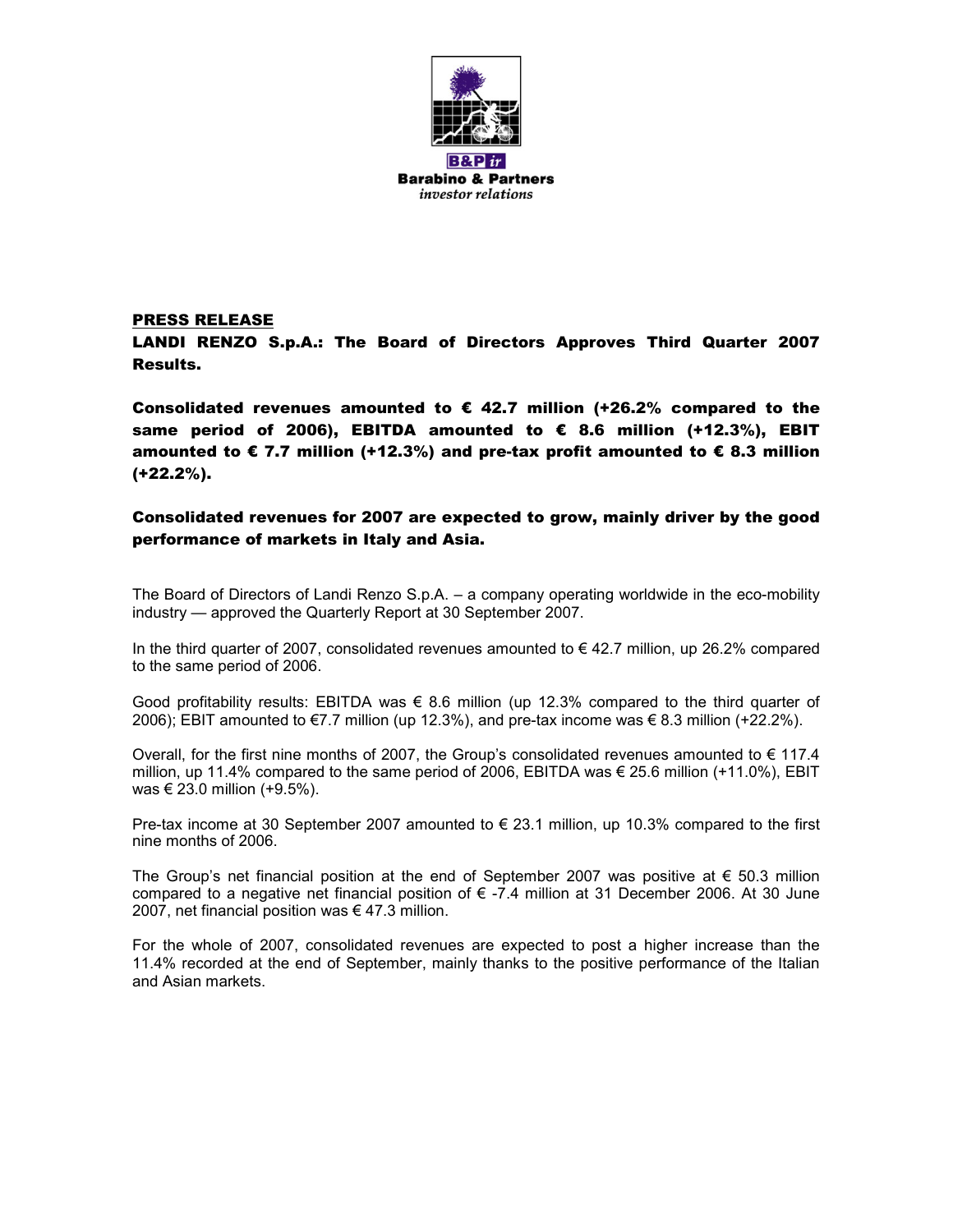

**Barabino & Partners** *investor relations* 

#### PRESS RELEASE

LANDI RENZO S.p.A.: The Board of Directors Approves Third Quarter 2007 Results.

Consolidated revenues amounted to  $\epsilon$  42.7 million (+26.2% compared to the same period of 2006), EBITDA amounted to € 8.6 million (+12.3%), EBIT amounted to  $\epsilon$  7.7 million (+12.3%) and pre-tax profit amounted to  $\epsilon$  8.3 million (+22.2%).

### Consolidated revenues for 2007 are expected to grow, mainly driver by the good performance of markets in Italy and Asia.

The Board of Directors of Landi Renzo S.p.A. – a company operating worldwide in the eco-mobility industry — approved the Quarterly Report at 30 September 2007.

In the third quarter of 2007, consolidated revenues amounted to  $\epsilon$  42.7 million, up 26.2% compared to the same period of 2006.

Good profitability results: EBITDA was  $\epsilon$  8.6 million (up 12.3% compared to the third quarter of 2006); EBIT amounted to €7.7 million (up 12.3%), and pre-tax income was € 8.3 million (+22.2%).

Overall, for the first nine months of 2007, the Group's consolidated revenues amounted to  $\epsilon$  117.4 million, up 11.4% compared to the same period of 2006, EBITDA was € 25.6 million (+11.0%), EBIT was € 23.0 million (+9.5%).

Pre-tax income at 30 September 2007 amounted to  $\epsilon$  23.1 million, up 10.3% compared to the first nine months of 2006.

The Group's net financial position at the end of September 2007 was positive at  $\epsilon$  50.3 million compared to a negative net financial position of  $\epsilon$  -7.4 million at 31 December 2006. At 30 June 2007, net financial position was  $\epsilon$  47.3 million.

For the whole of 2007, consolidated revenues are expected to post a higher increase than the 11.4% recorded at the end of September, mainly thanks to the positive performance of the Italian and Asian markets.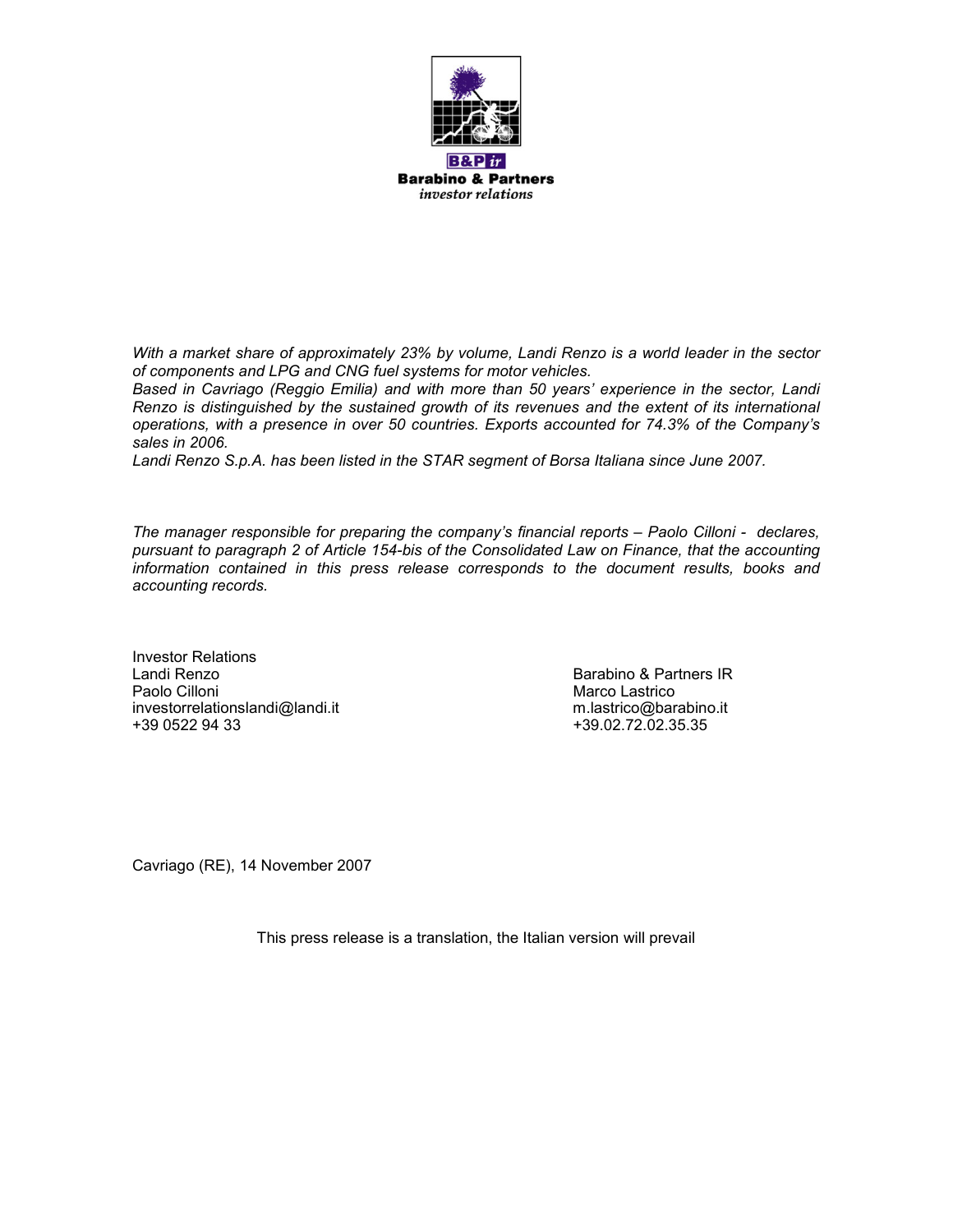

**Barabino & Partners** *investor relations* 

*With a market share of approximately 23% by volume, Landi Renzo is a world leader in the sector of components and LPG and CNG fuel systems for motor vehicles.* 

*Based in Cavriago (Reggio Emilia) and with more than 50 years' experience in the sector, Landi Renzo is distinguished by the sustained growth of its revenues and the extent of its international operations, with a presence in over 50 countries. Exports accounted for 74.3% of the Company's sales in 2006.* 

*Landi Renzo S.p.A. has been listed in the STAR segment of Borsa Italiana since June 2007.* 

*The manager responsible for preparing the company's financial reports – Paolo Cilloni - declares, pursuant to paragraph 2 of Article 154-bis of the Consolidated Law on Finance, that the accounting information contained in this press release corresponds to the document results, books and accounting records.* 

Investor Relations Landi Renzo Barabino & Partners IR Paolo Cilloni **Marco Lastrico** Cilloni Marco Lastrico **Marco Lastrico** investorrelationslandi@landi.it m.lastrico@barabino.it m.lastrico@barabino.it<br>
+39.02.72.02.35.35<br>
+39.02.72.02.35.35

+39.02.72.02.35.35

Cavriago (RE), 14 November 2007

This press release is a translation, the Italian version will prevail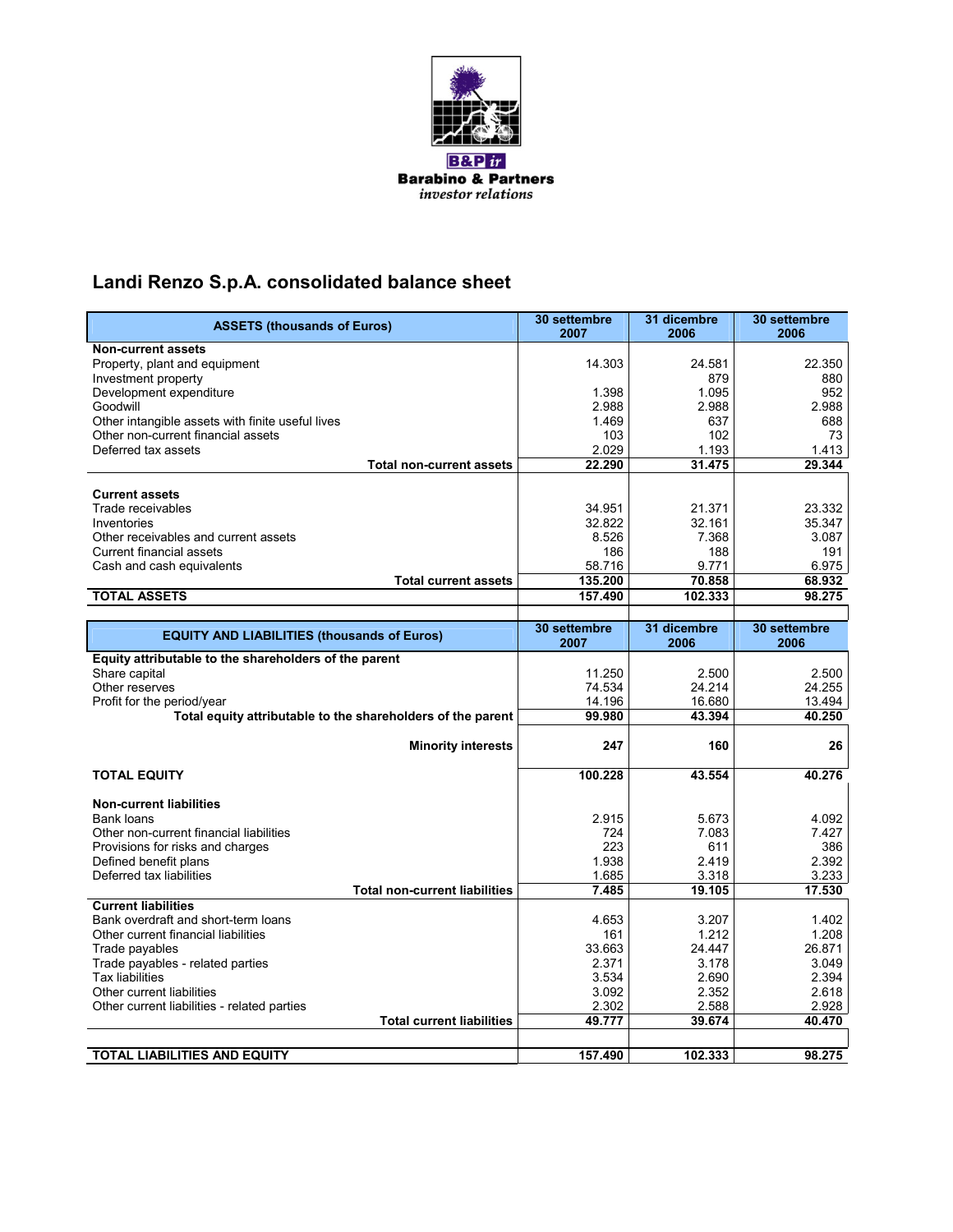

# **Landi Renzo S.p.A. consolidated balance sheet**

| <b>ASSETS (thousands of Euros)</b>                          | 30 settembre<br>2007 | 31 dicembre<br>2006 | 30 settembre<br>2006 |
|-------------------------------------------------------------|----------------------|---------------------|----------------------|
| <b>Non-current assets</b>                                   |                      |                     |                      |
| Property, plant and equipment                               | 14.303               | 24.581              | 22.350               |
| Investment property                                         |                      | 879                 | 880                  |
| Development expenditure                                     | 1.398                | 1.095               | 952                  |
| Goodwill                                                    | 2.988                | 2.988               | 2.988                |
| Other intangible assets with finite useful lives            | 1.469                | 637                 | 688                  |
| Other non-current financial assets                          | 103                  | 102                 | 73                   |
| Deferred tax assets                                         | 2.029                | 1.193               | 1.413                |
| <b>Total non-current assets</b>                             | 22.290               | 31.475              | 29.344               |
|                                                             |                      |                     |                      |
| <b>Current assets</b>                                       |                      |                     |                      |
| Trade receivables                                           | 34.951               | 21.371              | 23.332               |
| Inventories                                                 | 32.822               | 32.161              | 35.347               |
| Other receivables and current assets                        | 8.526                | 7.368               | 3.087                |
| <b>Current financial assets</b>                             | 186                  | 188                 | 191                  |
| Cash and cash equivalents                                   | 58.716               | 9.771               | 6.975                |
| <b>Total current assets</b>                                 | 135.200              | 70.858              | 68.932               |
| <b>TOTAL ASSETS</b>                                         | 157.490              | 102.333             | 98.275               |
|                                                             |                      |                     |                      |
| <b>EQUITY AND LIABILITIES (thousands of Euros)</b>          | 30 settembre         | 31 dicembre         | 30 settembre         |
|                                                             | 2007                 | 2006                | 2006                 |
| Equity attributable to the shareholders of the parent       |                      |                     |                      |
| Share capital                                               | 11.250               | 2.500               | 2.500                |
| Other reserves                                              | 74.534               | 24.214              | 24.255               |
| Profit for the period/year                                  | 14.196               | 16.680              | 13.494               |
| Total equity attributable to the shareholders of the parent | 99.980               | 43.394              | 40.250               |
|                                                             |                      |                     |                      |
| <b>Minority interests</b>                                   | 247                  | 160                 | 26                   |
|                                                             |                      |                     |                      |
| <b>TOTAL EQUITY</b>                                         | 100.228              | 43.554              | 40.276               |
|                                                             |                      |                     |                      |
| <b>Non-current liabilities</b>                              |                      |                     |                      |
| Bank loans                                                  | 2.915                | 5.673               | 4.092                |
| Other non-current financial liabilities                     | 724                  | 7.083               | 7.427                |
| Provisions for risks and charges                            | 223                  | 611<br>2.419        | 386                  |
| Defined benefit plans<br>Deferred tax liabilities           | 1.938<br>1.685       | 3.318               | 2.392<br>3.233       |
| <b>Total non-current liabilities</b>                        | 7.485                | 19.105              | 17.530               |
| <b>Current liabilities</b>                                  |                      |                     |                      |
| Bank overdraft and short-term loans                         | 4.653                | 3.207               | 1.402                |
| Other current financial liabilities                         | 161                  | 1.212               | 1.208                |
| Trade payables                                              | 33.663               | 24.447              | 26.871               |
|                                                             | 2.371                | 3.178               | 3.049                |
| Trade payables - related parties<br>Tax liabilities         | 3.534                | 2.690               | 2.394                |
| Other current liabilities                                   | 3.092                | 2.352               | 2.618                |
| Other current liabilities - related parties                 | 2.302                | 2.588               | 2.928                |
| <b>Total current liabilities</b>                            | 49.777               | 39.674              | 40.470               |
|                                                             |                      |                     |                      |
|                                                             |                      |                     |                      |
| TOTAL LIABILITIES AND EQUITY                                | 157.490              | 102.333             | 98.275               |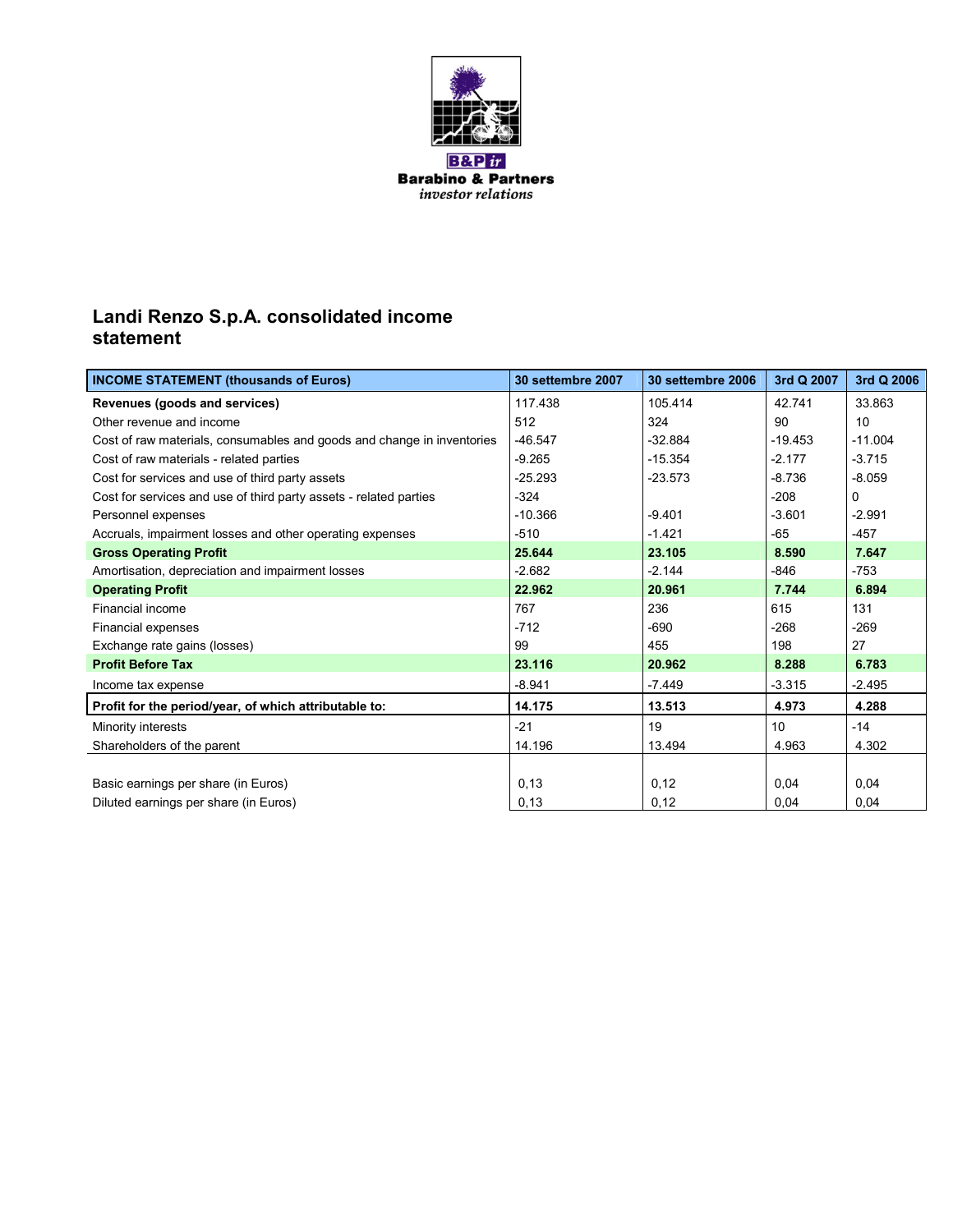

**B&P** ir **Barabino & Partners** investor relations

### **Landi Renzo S.p.A. consolidated income statement**

| <b>INCOME STATEMENT (thousands of Euros)</b>                           | 30 settembre 2007 | 30 settembre 2006 | 3rd Q 2007      | 3rd Q 2006 |
|------------------------------------------------------------------------|-------------------|-------------------|-----------------|------------|
| Revenues (goods and services)                                          | 117.438           | 105.414           | 42.741          | 33.863     |
| Other revenue and income                                               | 512               | 324               | 90              | 10         |
| Cost of raw materials, consumables and goods and change in inventories | $-46.547$         | $-32.884$         | $-19.453$       | $-11.004$  |
| Cost of raw materials - related parties                                | $-9.265$          | $-15.354$         | -2.177          | $-3.715$   |
| Cost for services and use of third party assets                        | $-25.293$         | $-23.573$         | $-8.736$        | $-8.059$   |
| Cost for services and use of third party assets - related parties      | $-324$            |                   | $-208$          | 0          |
| Personnel expenses                                                     | $-10.366$         | $-9.401$          | $-3.601$        | $-2.991$   |
| Accruals, impairment losses and other operating expenses               | $-510$            | $-1.421$          | -65             | $-457$     |
| <b>Gross Operating Profit</b>                                          | 25.644            | 23.105            | 8.590           | 7.647      |
| Amortisation, depreciation and impairment losses                       | $-2.682$          | $-2.144$          | $-846$          | $-753$     |
| <b>Operating Profit</b>                                                | 22.962            | 20.961            | 7.744           | 6.894      |
| Financial income                                                       | 767               | 236               | 615             | 131        |
| Financial expenses                                                     | $-712$            | $-690$            | $-268$          | $-269$     |
| Exchange rate gains (losses)                                           | 99                | 455               | 198             | 27         |
| <b>Profit Before Tax</b>                                               | 23.116            | 20.962            | 8.288           | 6.783      |
| Income tax expense                                                     | $-8.941$          | $-7.449$          | $-3.315$        | -2.495     |
| Profit for the period/year, of which attributable to:                  | 14.175            | 13.513            | 4.973           | 4.288      |
| Minority interests                                                     | $-21$             | 19                | 10 <sup>1</sup> | $-14$      |
| Shareholders of the parent                                             | 14.196            | 13.494            | 4.963           | 4.302      |
|                                                                        |                   |                   |                 |            |
| Basic earnings per share (in Euros)                                    | 0,13              | 0,12              | 0,04            | 0,04       |
| Diluted earnings per share (in Euros)                                  | 0,13              | 0,12              | 0,04            | 0,04       |